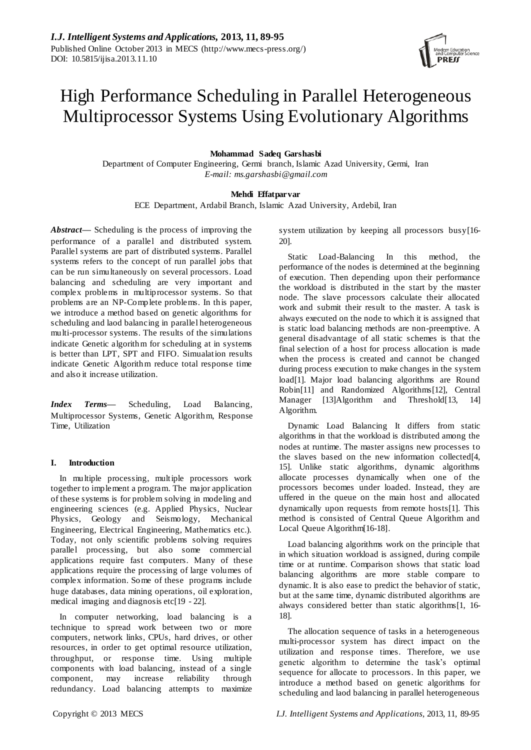# High Performance Scheduling in Parallel Heterogeneous Multiprocessor Systems Using Evolutionary Algorithms

# **Mohammad Sadeq Garshasbi**

Department of Computer Engineering, Germi branch, Islamic Azad University, Germi, Iran *E-mail: ms.garshasbi@gmail.com*

# **Mehdi Effatparvar**

ECE Department, Ardabil Branch, Islamic Azad University, Ardebil, Iran

*Abstract***—** Scheduling is the process of improving the performance of a parallel and distributed system. Parallel systems are part of distributed systems. Parallel systems refers to the concept of run parallel jobs that can be run simultaneously on several processors. Load balancing and scheduling are very important and complex problems in multiprocessor systems. So that problems are an NP-Complete problems. In this paper, we introduce a method based on genetic algorithms for scheduling and laod balancing in parallel heterogeneous multi-processor systems. The results of the simulations indicate Genetic algorithm for scheduling at in systems is better than LPT, SPT and FIFO. Simualation results indicate Genetic Algorithm reduce total response time and also it increase utilization.

*Index Terms***—** Scheduling, Load Balancing, Multiprocessor Systems, Genetic Algorithm, Response Time, Utilization

# **I. Introduction**

In multiple processing, multiple processors work together to implement a program. The major application of these systems is for problem solving in modeling and engineering sciences (e.g. Applied Physics, Nuclear Physics, Geology and Seismology, Mechanical Engineering, Electrical Engineering, Mathematics etc.). Today, not only scientific problems solving requires parallel processing, but also some commercial applications require fast computers. Many of these applications require the processing of large volumes of complex information. Some of these programs include huge databases, data mining operations, oil exploration, medical imaging and diagnosis etc[19 - 22].

In computer networking, load balancing is a technique to spread work between two or more computers, network links, CPUs, hard drives, or other resources, in order to get optimal resource utilization, throughput, or response time. Using multiple components with load balancing, instead of a single component, may increase reliability through redundancy. Load balancing attempts to maximize

system utilization by keeping all processors busy[16-20].

Static Load-Balancing In this method, the performance of the nodes is determined at the beginning of execution. Then depending upon their performance the workload is distributed in the start by the master node. The slave processors calculate their allocated work and submit their result to the master. A task is always executed on the node to which it is assigned that is static load balancing methods are non-preemptive. A general disadvantage of all static schemes is that the final selection of a host for process allocation is made when the process is created and cannot be changed during process execution to make changes in the system load[1]. Major load balancing algorithms are Round Robin[11] and Randomized Algorithms[12], Central Manager [13]Algorithm and Threshold[13, 14] Algorithm.

Dynamic Load Balancing It differs from static algorithms in that the workload is distributed among the nodes at runtime. The master assigns new processes to the slaves based on the new information collected[4, 15]. Unlike static algorithms, dynamic algorithms allocate processes dynamically when one of the processors becomes under loaded. Instead, they are uffered in the queue on the main host and allocated dynamically upon requests from remote hosts[1]. This method is consisted of Central Queue Algorithm and Local Queue Algorithm[16-18].

Load balancing algorithms work on the principle that in which situation workload is assigned, during compile time or at runtime. Comparison shows that static load balancing algorithms are more stable compare to dynamic. It is also ease to predict the behavior of static, but at the same time, dynamic distributed algorithms are always considered better than static algorithms[1, 16- 18].

The allocation sequence of tasks in a heterogeneous multi-processor system has direct impact on the utilization and response times. Therefore, we use genetic algorithm to determine the task's optimal sequence for allocate to processors. In this paper, we introduce a method based on genetic algorithms for scheduling and laod balancing in parallel heterogeneous

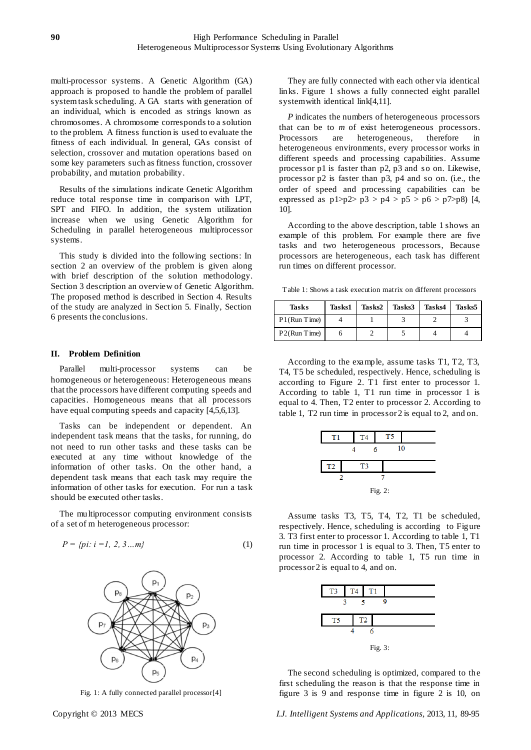multi-processor systems. A Genetic Algorithm (GA) approach is proposed to handle the problem of parallel system task scheduling. A GA starts with generation of an individual, which is encoded as strings known as chromosomes. A chromosome corresponds to a solution to the problem. A fitness function is used to evaluate the fitness of each individual. In general, GAs consist of selection, crossover and mutation operations based on some key parameters such as fitness function, crossover probability, and mutation probability.

Results of the simulations indicate Genetic Algorithm reduce total response time in comparison with LPT, SPT and FIFO. In addition, the system utilization increase when we using Genetic Algorithm for Scheduling in parallel heterogeneous multiprocessor systems.

This study is divided into the following sections: In section 2 an overview of the problem is given along with brief description of the solution methodology. Section 3 description an overview of Genetic Algorithm. The proposed method is described in Section 4. Results of the study are analyzed in Section 5. Finally, Section 6 presents the conclusions.

# **II. Problem Definition**

Parallel multi-processor systems can be homogeneous or heterogeneous: Heterogeneous means that the processors have different computing speeds and capacities. Homogeneous means that all processors have equal computing speeds and capacity [4,5,6,13].

Tasks can be independent or dependent. An independent task means that the tasks, for running, do not need to run other tasks and these tasks can be executed at any time without knowledge of the information of other tasks. On the other hand, a dependent task means that each task may require the information of other tasks for execution. For run a task should be executed other tasks.

The multiprocessor computing environment consists of a set of m heterogeneous processor:

$$
P = \{pi: i = 1, 2, 3...m\}
$$
 (1)



Fig. 1: A fully connected parallel processor[4]

They are fully connected with each other via identical links. Figure 1 shows a fully connected eight parallel system with identical link[4,11].

*P* indicates the numbers of heterogeneous processors that can be to *m* of exist heterogeneous processors.<br>Processors are heterogeneous, therefore in Processors are heterogeneous, therefore in heterogeneous environments, every processor works in different speeds and processing capabilities. Assume processor p1 is faster than p2, p3 and so on. Likewise, processor p2 is faster than p3, p4 and so on. (i.e., the order of speed and processing capabilities can be expressed as  $p1>p2$   $p3$   $>$   $p4$   $>$   $p5$   $>$   $p6$   $>$   $p7$   $p8$ ) [4, 10].

According to the above description, table 1 shows an example of this problem. For example there are five tasks and two heterogeneous processors, Because processors are heterogeneous, each task has different run times on different processor.

Table 1: Shows a task execution matrix on different processors

| Tasks        | <b>Tasks1</b> | Tasks2 | Tasks3 | Tasks4 | Tasks5 |
|--------------|---------------|--------|--------|--------|--------|
| P1(Run Time) |               |        |        |        |        |
| P2(Run Time) |               |        |        |        |        |

According to the example, assume tasks T1, T2, T3, T4, T5 be scheduled, respectively. Hence, scheduling is according to Figure 2. T1 first enter to processor 1. According to table 1, T1 run time in processor 1 is equal to 4. Then, T2 enter to processor 2. According to table 1, T2 run time in processor 2 is equal to 2, and on.

| T1             |  | T <sub>4</sub> | T5 |    |  |  |
|----------------|--|----------------|----|----|--|--|
|                |  |                | 6  | 10 |  |  |
| T <sub>2</sub> |  | T <sub>3</sub> |    |    |  |  |
| n              |  |                |    |    |  |  |
| Fig. 2:        |  |                |    |    |  |  |

Assume tasks T3, T5, T4, T2, T1 be scheduled, respectively. Hence, scheduling is according to Figure 3. T3 first enter to processor 1. According to table 1, T1 run time in processor 1 is equal to 3. Then, T5 enter to processor 2. According to table 1, T5 run time in processor 2 is equal to 4, and on.



The second scheduling is optimized, compared to the first scheduling the reason is that the response time in figure 3 is 9 and response time in figure 2 is 10, on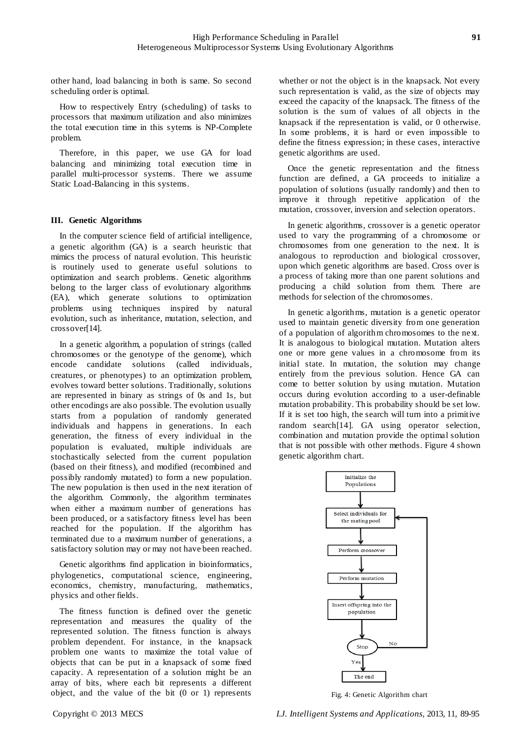other hand, load balancing in both is same. So second scheduling order is optimal.

How to respectively Entry (scheduling) of tasks to processors that maximum utilization and also minimizes the total execution time in this sytems is NP-Complete problem.

Therefore, in this paper, we use GA for load balancing and minimizing total execution time in parallel multi-processor systems. There we assume Static Load-Balancing in this systems.

# **III. Genetic Algorithms**

In the computer science field of artificial intelligence, a genetic algorithm (GA) is a search heuristic that mimics the process of natural evolution. This heuristic is routinely used to generate us eful solutions to optimization and search problems. Genetic algorithms belong to the larger class of evolutionary algorithms (EA), which generate solutions to optimization problems using techniques inspired by natural evolution, such as inheritance, mutation, selection, and crossover[14].

In a genetic algorithm, a population of strings (called chromosomes or the genotype of the genome), which encode candidate solutions (called individuals, creatures, or phenotypes) to an optimization problem, evolves toward better solutions. Traditionally, solutions are represented in binary as strings of 0s and 1s, but other encodings are also possible. The evolution usually starts from a population of randomly generated individuals and happens in generations. In each generation, the fitness of every individual in the population is evaluated, multiple individuals are stochastically selected from the current population (based on their fitness), and modified (recombined and possibly randomly mutated) to form a new population. The new population is then used in the next iteration of the algorithm. Commonly, the algorithm terminates when either a maximum number of generations has been produced, or a satisfactory fitness level has been reached for the population. If the algorithm has terminated due to a maximum number of generations, a satisfactory solution may or may not have been reached.

Genetic algorithms find application in bioinformatics, phylogenetics, computational science, engineering, economics, chemistry, manufacturing, mathematics, physics and other fields.

The fitness function is defined over the genetic representation and measures the quality of the represented solution. The fitness function is always problem dependent. For instance, in the knapsack problem one wants to maximize the total value of objects that can be put in a knapsack of some fixed capacity. A representation of a solution might be an array of bits, where each bit represents a different object, and the value of the bit (0 or 1) represents

whether or not the object is in the knapsack. Not every such representation is valid, as the size of objects may exceed the capacity of the knapsack. The fitness of the solution is the sum of values of all objects in the knapsack if the representation is valid, or 0 otherwise. In some problems, it is hard or even impossible to define the fitness expression; in these cases, interactive genetic algorithms are used.

Once the genetic representation and the fitness function are defined, a GA proceeds to initialize a population of solutions (usually randomly) and then to improve it through repetitive application of the mutation, crossover, inversion and selection operators.

In genetic algorithms, crossover is a genetic operator used to vary the programming of a chromosome or chromosomes from one generation to the next. It is analogous to reproduction and biological crossover, upon which genetic algorithms are based. Cross over is a process of taking more than one parent solutions and producing a child solution from them. There are methods for selection of the chromosomes.

In genetic algorithms, mutation is a genetic operator used to maintain genetic diversity from one generation of a population of algorithm chromosomes to the next. It is analogous to biological mutation. Mutation alters one or more gene values in a chromosome from its initial state. In mutation, the solution may change entirely from the previous solution. Hence GA can come to better solution by using mutation. Mutation occurs during evolution according to a user-definable mutation probability. This probability should be set low. If it is set too high, the search will turn into a primitive random search[14]. GA using operator selection, combination and mutation provide the optimal solution that is not possible with other methods. Figure 4 shown genetic algorithm chart.



Fig. 4: Genetic Algorithm chart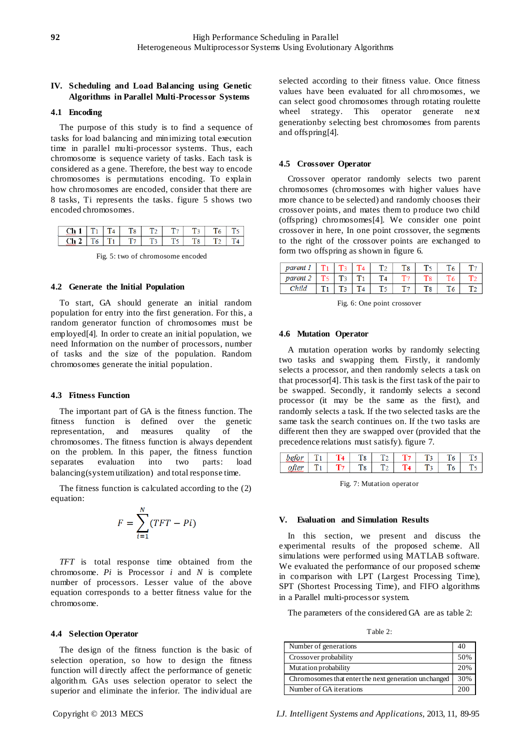# **IV. Scheduling and Load Balancing using Genetic Algorithms in Parallel Multi-Processor Systems**

# **4.1 Encoding**

The purpose of this study is to find a sequence of tasks for load balancing and minimizing total execution time in parallel multi-processor systems. Thus, each chromosome is sequence variety of tasks. Each task is considered as a gene. Therefore, the best way to encode chromosomes is permutations encoding. To explain how chromosomes are encoded, consider that there are 8 tasks, Ti represents the tasks. figure 5 shows two encoded chromosomes.

Fig. 5: two of chromosome encoded

# **4.2 Generate the Initial Population**

To start, GA should generate an initial random population for entry into the first generation. For this, a random generator function of chromosomes must be employed[4]. In order to create an initial population, we need Information on the number of processors, number of tasks and the size of the population. Random chromosomes generate the initial population.

#### **4.3 Fitness Function**

The important part of GA is the fitness function. The fitness function is defined over the genetic representation, and measures quality of the chromosomes. The fitness function is always dependent on the problem. In this paper, the fitness function separates evaluation into two parts: load balancing(system utilization) and total response time.

The fitness function is calculated according to the (2) equation:

$$
F = \sum_{i=1}^{N} (TFT - Pi)
$$

*TFT* is total response time obtained from the chromosome. *Pi* is Processor *i* and *N* is complete number of processors. Lesser value of the above equation corresponds to a better fitness value for the chromosome.

#### **4.4 Selection Operator**

The design of the fitness function is the basic of selection operation, so how to design the fitness function will directly affect the performance of genetic algorithm. GAs uses selection operator to select the superior and eliminate the inferior. The individual are

selected according to their fitness value. Once fitness values have been evaluated for all chromosomes, we can select good chromosomes through rotating roulette wheel strategy. This operator generate next generationby selecting best chromosomes from parents and offspring[4].

# **4.5 Crossover Operator**

Crossover operator randomly selects two parent chromosomes (chromosomes with higher values have more chance to be selected) and randomly chooses their crossover points, and mates them to produce two child (offspring) chromosomes[4]. We consider one point crossover in here, In one point crossover, the segments to the right of the crossover points are exchanged to form two offspring as shown in figure 6.

| parent   |  |  |   |  |
|----------|--|--|---|--|
| parent 2 |  |  |   |  |
| Child    |  |  | ۰ |  |

Fig. 6: One point crossover

# **4.6 Mutation Operator**

A mutation operation works by randomly selecting two tasks and swapping them. Firstly, it randomly selects a processor, and then randomly selects a task on that processor[4]. This task is the first task of the pair to be swapped. Secondly, it randomly selects a second processor (it may be the same as the first), and randomly selects a task. If the two selected tasks are the same task the search continues on. If the two tasks are different then they are swapped over (provided that the precedence relations must satisfy). figure 7.

| - - |  |  |  |  |
|-----|--|--|--|--|

Fig. 7: Mutation operator

#### **V. Evaluation and Simulation Results**

In this section, we present and discuss the experimental results of the proposed scheme. All simulations were performed using MATLAB software. We evaluated the performance of our proposed scheme in comparison with LPT (Largest Processing Time), SPT (Shortest Processing Time), and FIFO algorithms in a Parallel multi-processor system.

The parameters of the considered GA are as table 2:

Table 2:

| Number of generations                                | -40 |
|------------------------------------------------------|-----|
| Crossover probability                                | 50% |
| Mutation probability                                 | 20% |
| Chromosomes that enter the next generation unchanged | 30% |
| Number of GA iterations                              | 200 |

Copyright © 2013 MECS *I.J. Intelligent Systems and Applications,* 2013, 11, 89-95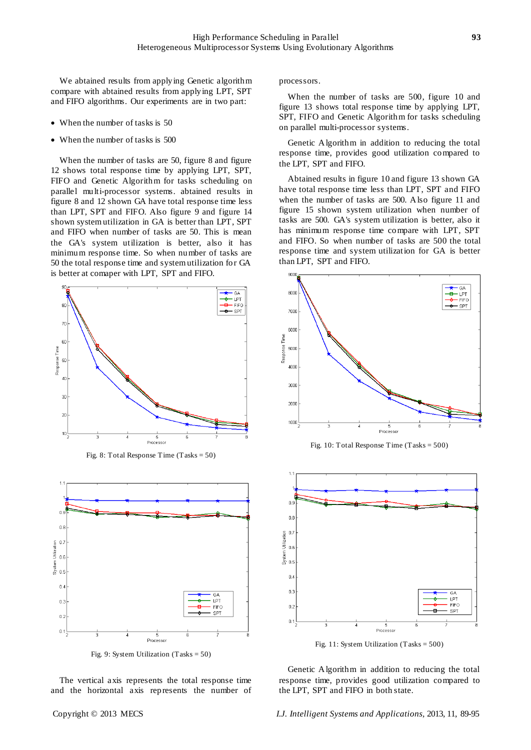We abtained results from applying Genetic algorithm compare with abtained results from applying LPT, SPT and FIFO algorithms. Our experiments are in two part:

- When the number of tasks is 50
- When the number of tasks is 500

When the number of tasks are 50, figure 8 and figure 12 shows total response time by applying LPT, SPT, FIFO and Genetic Algorithm for tasks scheduling on parallel multi-processor systems. abtained results in figure 8 and 12 shown GA have total response time less than LPT, SPT and FIFO. Also figure 9 and figure 14 shown system utilization in GA is better than LPT, SPT and FIFO when number of tasks are 50. This is mean the GA's system utilization is better, also it has minimum response time. So when number of tasks are 50 the total response time and system utilization for GA is better at comaper with LPT, SPT and FIFO.



Fig. 8: Total Response Time (Tasks = 50)



Fig. 9: System Utilization (Tasks = 50)

The vertical axis represents the total response time and the horizontal axis represents the number of

processors.

When the number of tasks are 500, figure 10 and figure 13 shows total response time by applying LPT, SPT, FIFO and Genetic Algorithm for tasks scheduling on parallel multi-processor systems.

Genetic Algorithm in addition to reducing the total response time, provides good utilization compared to the LPT, SPT and FIFO.

Abtained results in figure 10 and figure 13 shown GA have total response time less than LPT, SPT and FIFO when the number of tasks are 500. Also figure 11 and figure 15 shown system utilization when number of tasks are 500. GA's system utilization is better, also it has minimum response time compare with LPT, SPT and FIFO. So when number of tasks are 500 the total response time and system utilization for GA is better than LPT, SPT and FIFO.



Fig. 10: Total Response Time (Tasks = 500)



Fig. 11: System Utilization (Tasks = 500)

Genetic Algorithm in addition to reducing the total response time, provides good utilization compared to the LPT, SPT and FIFO in both state.

Copyright © 2013 MECS *I.J. Intelligent Systems and Applications,* 2013, 11, 89-95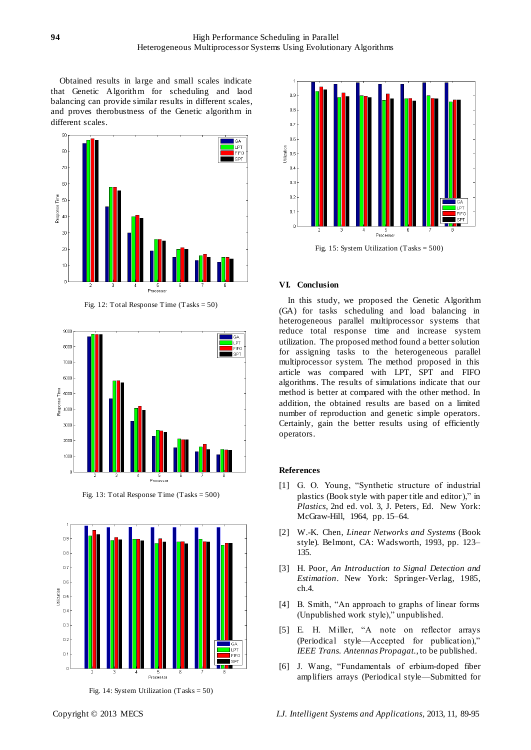Obtained results in large and small scales indicate that Genetic Algorithm for scheduling and laod balancing can provide similar results in different scales, and proves therobustness of the Genetic algorithm in different scales.



Fig. 12: Total Response Time  $(Tasks = 50)$ 



Fig. 13: Total Response Time (Tasks = 500)







Fig. 15: System Utilization (Tasks = 500)

# **VI. Conclusion**

In this study, we proposed the Genetic Algorithm (GA) for tasks scheduling and load balancing in heterogeneous parallel multiprocessor systems that reduce total response time and increase system utilization. The proposed method found a better solution for assigning tasks to the heterogeneous parallel multiprocessor system. The method proposed in this article was compared with LPT, SPT and FIFO algorithms. The results of simulations indicate that our method is better at compared with the other method. In addition, the obtained results are based on a limited number of reproduction and genetic simple operators. Certainly, gain the better results using of efficiently operators.

# **References**

- [1] G. O. Young, "Synthetic structure of industrial plastics (Book style with paper title and editor)," in *Plastics*, 2nd ed. vol. 3, J. Peters, Ed. New York: McGraw-Hill, 1964, pp. 15–64.
- [2] W.-K. Chen, *Linear Networks and Systems* (Book style)*.* Belmont, CA: Wadsworth, 1993, pp. 123– 135.
- [3] H. Poor, *An Introduction to Signal Detection and Estimation*. New York: Springer-Verlag, 1985, ch.4.
- [4] B. Smith, "An approach to graphs of linear forms (Unpublished work style)," unpublished.
- [5] E. H. Miller, "A note on reflector arrays (Periodical style—Accepted for publication)," *IEEE Trans. Antennas Propagat.*, to be published.
- [6] J. Wang, "Fundamentals of erbium-doped fiber amplifiers arrays (Periodical style—Submitted for